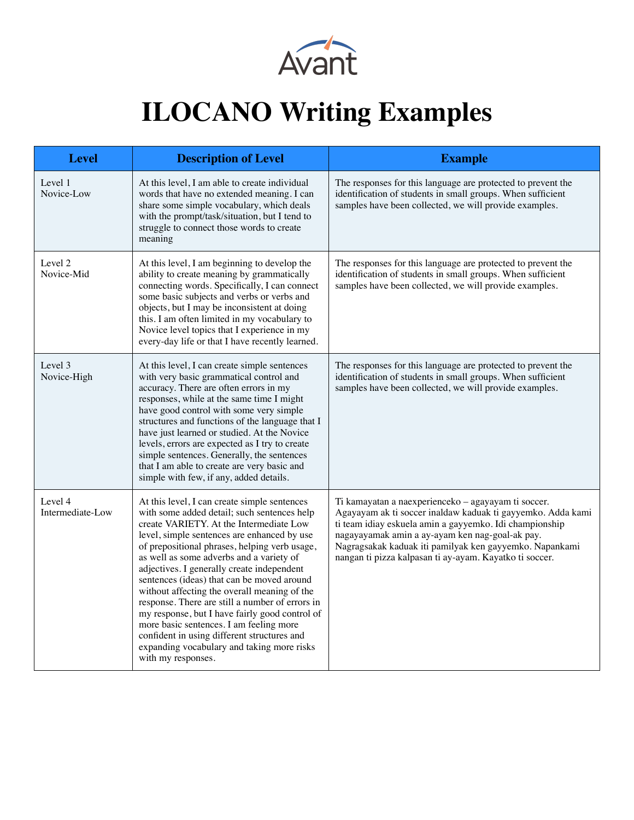

## **ILOCANO Writing Examples**

| <b>Level</b>                | <b>Description of Level</b>                                                                                                                                                                                                                                                                                                                                                                                                                                                                                                                                                                                                                                                                       | <b>Example</b>                                                                                                                                                                                                                                                                                                                                         |
|-----------------------------|---------------------------------------------------------------------------------------------------------------------------------------------------------------------------------------------------------------------------------------------------------------------------------------------------------------------------------------------------------------------------------------------------------------------------------------------------------------------------------------------------------------------------------------------------------------------------------------------------------------------------------------------------------------------------------------------------|--------------------------------------------------------------------------------------------------------------------------------------------------------------------------------------------------------------------------------------------------------------------------------------------------------------------------------------------------------|
| Level 1<br>Novice-Low       | At this level, I am able to create individual<br>words that have no extended meaning. I can<br>share some simple vocabulary, which deals<br>with the prompt/task/situation, but I tend to<br>struggle to connect those words to create<br>meaning                                                                                                                                                                                                                                                                                                                                                                                                                                                 | The responses for this language are protected to prevent the<br>identification of students in small groups. When sufficient<br>samples have been collected, we will provide examples.                                                                                                                                                                  |
| Level 2<br>Novice-Mid       | At this level, I am beginning to develop the<br>ability to create meaning by grammatically<br>connecting words. Specifically, I can connect<br>some basic subjects and verbs or verbs and<br>objects, but I may be inconsistent at doing<br>this. I am often limited in my vocabulary to<br>Novice level topics that I experience in my<br>every-day life or that I have recently learned.                                                                                                                                                                                                                                                                                                        | The responses for this language are protected to prevent the<br>identification of students in small groups. When sufficient<br>samples have been collected, we will provide examples.                                                                                                                                                                  |
| Level 3<br>Novice-High      | At this level, I can create simple sentences<br>with very basic grammatical control and<br>accuracy. There are often errors in my<br>responses, while at the same time I might<br>have good control with some very simple<br>structures and functions of the language that I<br>have just learned or studied. At the Novice<br>levels, errors are expected as I try to create<br>simple sentences. Generally, the sentences<br>that I am able to create are very basic and<br>simple with few, if any, added details.                                                                                                                                                                             | The responses for this language are protected to prevent the<br>identification of students in small groups. When sufficient<br>samples have been collected, we will provide examples.                                                                                                                                                                  |
| Level 4<br>Intermediate-Low | At this level, I can create simple sentences<br>with some added detail; such sentences help<br>create VARIETY. At the Intermediate Low<br>level, simple sentences are enhanced by use<br>of prepositional phrases, helping verb usage,<br>as well as some adverbs and a variety of<br>adjectives. I generally create independent<br>sentences (ideas) that can be moved around<br>without affecting the overall meaning of the<br>response. There are still a number of errors in<br>my response, but I have fairly good control of<br>more basic sentences. I am feeling more<br>confident in using different structures and<br>expanding vocabulary and taking more risks<br>with my responses. | Ti kamayatan a naexperienceko - agayayam ti soccer.<br>Agayayam ak ti soccer inaldaw kaduak ti gayyemko. Adda kami<br>ti team idiay eskuela amin a gayyemko. Idi championship<br>nagayayamak amin a ay-ayam ken nag-goal-ak pay.<br>Nagragsakak kaduak iti pamilyak ken gayyemko. Napankami<br>nangan ti pizza kalpasan ti ay-ayam. Kayatko ti soccer. |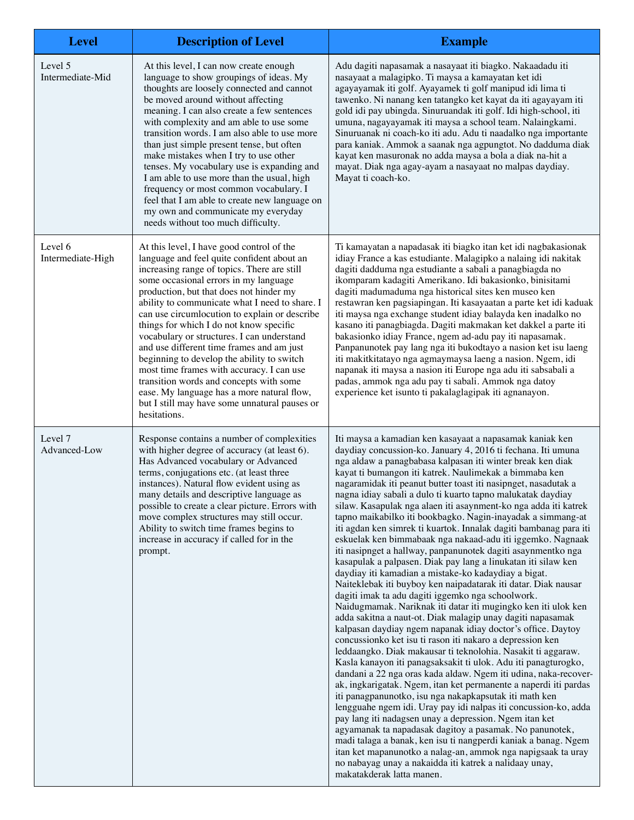| <b>Level</b>                 | <b>Description of Level</b>                                                                                                                                                                                                                                                                                                                                                                                                                                                                                                                                                                                                                                                                                              | <b>Example</b>                                                                                                                                                                                                                                                                                                                                                                                                                                                                                                                                                                                                                                                                                                                                                                                                                                                                                                                                                                                                                                                                                                                                                                                                                                                                                                                                                                                                                                                                                                                                                                                                                                                                                                                                                                                                                                                                                                                                                                        |
|------------------------------|--------------------------------------------------------------------------------------------------------------------------------------------------------------------------------------------------------------------------------------------------------------------------------------------------------------------------------------------------------------------------------------------------------------------------------------------------------------------------------------------------------------------------------------------------------------------------------------------------------------------------------------------------------------------------------------------------------------------------|---------------------------------------------------------------------------------------------------------------------------------------------------------------------------------------------------------------------------------------------------------------------------------------------------------------------------------------------------------------------------------------------------------------------------------------------------------------------------------------------------------------------------------------------------------------------------------------------------------------------------------------------------------------------------------------------------------------------------------------------------------------------------------------------------------------------------------------------------------------------------------------------------------------------------------------------------------------------------------------------------------------------------------------------------------------------------------------------------------------------------------------------------------------------------------------------------------------------------------------------------------------------------------------------------------------------------------------------------------------------------------------------------------------------------------------------------------------------------------------------------------------------------------------------------------------------------------------------------------------------------------------------------------------------------------------------------------------------------------------------------------------------------------------------------------------------------------------------------------------------------------------------------------------------------------------------------------------------------------------|
| Level 5<br>Intermediate-Mid  | At this level, I can now create enough<br>language to show groupings of ideas. My<br>thoughts are loosely connected and cannot<br>be moved around without affecting<br>meaning. I can also create a few sentences<br>with complexity and am able to use some<br>transition words. I am also able to use more<br>than just simple present tense, but often<br>make mistakes when I try to use other<br>tenses. My vocabulary use is expanding and<br>I am able to use more than the usual, high<br>frequency or most common vocabulary. I<br>feel that I am able to create new language on<br>my own and communicate my everyday<br>needs without too much difficulty.                                                    | Adu dagiti napasamak a nasayaat iti biagko. Nakaadadu iti<br>nasayaat a malagipko. Ti maysa a kamayatan ket idi<br>agayayamak iti golf. Ayayamek ti golf manipud idi lima ti<br>tawenko. Ni nanang ken tatangko ket kayat da iti agayayam iti<br>gold idi pay ubingda. Sinuruandak iti golf. Idi high-school, iti<br>umuna, nagayayamak iti maysa a school team. Nalaingkami.<br>Sinuruanak ni coach-ko iti adu. Adu ti naadalko nga importante<br>para kaniak. Ammok a saanak nga agpungtot. No dadduma diak<br>kayat ken masuronak no adda maysa a bola a diak na-hit a<br>mayat. Diak nga agay-ayam a nasayaat no malpas daydiay.<br>Mayat ti coach-ko.                                                                                                                                                                                                                                                                                                                                                                                                                                                                                                                                                                                                                                                                                                                                                                                                                                                                                                                                                                                                                                                                                                                                                                                                                                                                                                                            |
| Level 6<br>Intermediate-High | At this level, I have good control of the<br>language and feel quite confident about an<br>increasing range of topics. There are still<br>some occasional errors in my language<br>production, but that does not hinder my<br>ability to communicate what I need to share. I<br>can use circumlocution to explain or describe<br>things for which I do not know specific<br>vocabulary or structures. I can understand<br>and use different time frames and am just<br>beginning to develop the ability to switch<br>most time frames with accuracy. I can use<br>transition words and concepts with some<br>ease. My language has a more natural flow,<br>but I still may have some unnatural pauses or<br>hesitations. | Ti kamayatan a napadasak iti biagko itan ket idi nagbakasionak<br>idiay France a kas estudiante. Malagipko a nalaing idi nakitak<br>dagiti dadduma nga estudiante a sabali a panagbiagda no<br>ikomparam kadagiti Amerikano. Idi bakasionko, binisitami<br>dagiti madumaduma nga historical sites ken museo ken<br>restawran ken pagsiapingan. Iti kasayaatan a parte ket idi kaduak<br>iti maysa nga exchange student idiay balayda ken inadalko no<br>kasano iti panagbiagda. Dagiti makmakan ket dakkel a parte iti<br>bakasionko idiay France, ngem ad-adu pay iti napasamak.<br>Panpanunotek pay lang nga iti bukodtayo a nasion ket isu laeng<br>iti makitkitatayo nga agmaymaysa laeng a nasion. Ngem, idi<br>napanak iti maysa a nasion iti Europe nga adu iti sabsabali a<br>padas, ammok nga adu pay ti sabali. Ammok nga datoy<br>experience ket isunto ti pakalaglagipak iti agnanayon.                                                                                                                                                                                                                                                                                                                                                                                                                                                                                                                                                                                                                                                                                                                                                                                                                                                                                                                                                                                                                                                                                   |
| Level 7<br>Advanced-Low      | Response contains a number of complexities<br>with higher degree of accuracy (at least 6).<br>Has Advanced vocabulary or Advanced<br>terms, conjugations etc. (at least three<br>instances). Natural flow evident using as<br>many details and descriptive language as<br>possible to create a clear picture. Errors with<br>move complex structures may still occur.<br>Ability to switch time frames begins to<br>increase in accuracy if called for in the<br>prompt.                                                                                                                                                                                                                                                 | Iti maysa a kamadian ken kasayaat a napasamak kaniak ken<br>daydiay concussion-ko. January 4, 2016 ti fechana. Iti umuna<br>nga aldaw a panagbabasa kalpasan iti winter break ken diak<br>kayat ti bumangon iti katrek. Naulimekak a bimmaba ken<br>nagaramidak iti peanut butter toast iti nasipnget, nasadutak a<br>nagna idiay sabali a dulo ti kuarto tapno malukatak daydiay<br>silaw. Kasapulak nga alaen iti asaynment-ko nga adda iti katrek<br>tapno maikabilko iti bookbagko. Nagin-inayadak a simmang-at<br>iti agdan ken simrek ti kuartok. Innalak dagiti bambanag para iti<br>eskuelak ken bimmabaak nga nakaad-adu iti iggemko. Nagnaak<br>iti nasipnget a hallway, panpanunotek dagiti asaynmentko nga<br>kasapulak a palpasen. Diak pay lang a linukatan iti silaw ken<br>daydiay iti kamadian a mistake-ko kadaydiay a bigat.<br>Naiteklebak iti buyboy ken naipadatarak iti datar. Diak nausar<br>dagiti imak ta adu dagiti iggemko nga schoolwork.<br>Naidugmamak. Nariknak iti datar iti mugingko ken iti ulok ken<br>adda sakitna a naut-ot. Diak malagip unay dagiti napasamak<br>kalpasan daydiay ngem napanak idiay doctor's office. Daytoy<br>concussionko ket isu ti rason iti nakaro a depression ken<br>leddaangko. Diak makausar ti teknolohia. Nasakit ti aggaraw.<br>Kasla kanayon iti panagsaksakit ti ulok. Adu iti panagturogko,<br>dandani a 22 nga oras kada aldaw. Ngem iti udina, naka-recover-<br>ak, ingkarigatak. Ngem, itan ket permanente a naperdi iti pardas<br>iti panagpanunotko, isu nga nakapkapsutak iti math ken<br>lengguahe ngem idi. Uray pay idi nalpas iti concussion-ko, adda<br>pay lang iti nadagsen unay a depression. Ngem itan ket<br>agyamanak ta napadasak dagitoy a pasamak. No panunotek,<br>madi talaga a banak, ken isu ti nangperdi kaniak a banag. Ngem<br>itan ket mapanunotko a nalag-an, ammok nga napigsaak ta uray<br>no nabayag unay a nakaidda iti katrek a nalidaay unay,<br>makatakderak latta manen. |